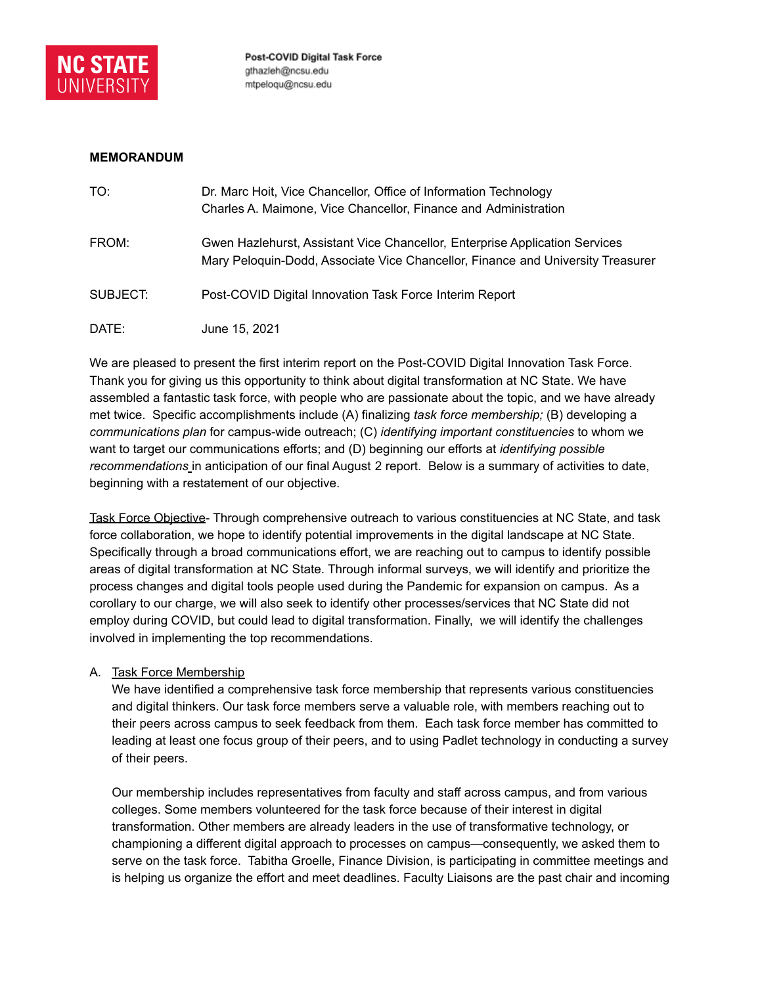

### **MEMORANDUM**

| TO:      | Dr. Marc Hoit, Vice Chancellor, Office of Information Technology<br>Charles A. Maimone, Vice Chancellor, Finance and Administration                            |
|----------|----------------------------------------------------------------------------------------------------------------------------------------------------------------|
| FROM:    | Gwen Hazlehurst, Assistant Vice Chancellor, Enterprise Application Services<br>Mary Peloquin-Dodd, Associate Vice Chancellor, Finance and University Treasurer |
| SUBJECT: | Post-COVID Digital Innovation Task Force Interim Report                                                                                                        |
| DATE:    | June 15, 2021                                                                                                                                                  |

We are pleased to present the first interim report on the Post-COVID Digital Innovation Task Force. Thank you for giving us this opportunity to think about digital transformation at NC State. We have assembled a fantastic task force, with people who are passionate about the topic, and we have already met twice. Specific accomplishments include (A) finalizing *task force membership;* (B) developing a *communications plan* for campus-wide outreach; (C) *identifying important constituencies* to whom we want to target our communications efforts; and (D) beginning our efforts at *identifying possible recommendations* in anticipation of our final August 2 report. Below is a summary of activities to date, beginning with a restatement of our objective.

Task Force Objective- Through comprehensive outreach to various constituencies at NC State, and task force collaboration, we hope to identify potential improvements in the digital landscape at NC State. Specifically through a broad communications effort, we are reaching out to campus to identify possible areas of digital transformation at NC State. Through informal surveys, we will identify and prioritize the process changes and digital tools people used during the Pandemic for expansion on campus. As a corollary to our charge, we will also seek to identify other processes/services that NC State did not employ during COVID, but could lead to digital transformation. Finally, we will identify the challenges involved in implementing the top recommendations.

## A. Task Force Membership

We have identified a comprehensive task force membership that represents various constituencies and digital thinkers. Our task force members serve a valuable role, with members reaching out to their peers across campus to seek feedback from them. Each task force member has committed to leading at least one focus group of their peers, and to using Padlet technology in conducting a survey of their peers.

Our membership includes representatives from faculty and staff across campus, and from various colleges. Some members volunteered for the task force because of their interest in digital transformation. Other members are already leaders in the use of transformative technology, or championing a different digital approach to processes on campus—consequently, we asked them to serve on the task force. Tabitha Groelle, Finance Division, is participating in committee meetings and is helping us organize the effort and meet deadlines. Faculty Liaisons are the past chair and incoming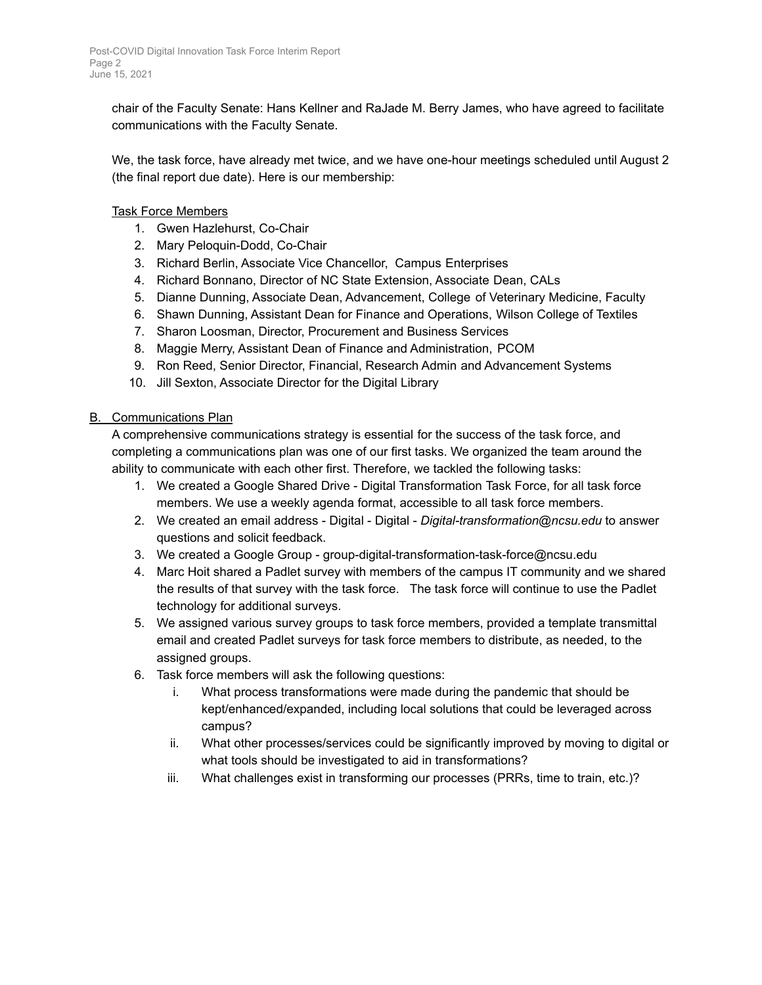chair of the Faculty Senate: Hans Kellner and RaJade M. Berry James, who have agreed to facilitate communications with the Faculty Senate.

We, the task force, have already met twice, and we have one-hour meetings scheduled until August 2 (the final report due date). Here is our membership:

# Task Force Members

- 1. Gwen Hazlehurst, Co-Chair
- 2. Mary Peloquin-Dodd, Co-Chair
- 3. Richard Berlin, Associate Vice Chancellor, Campus Enterprises
- 4. Richard Bonnano, Director of NC State Extension, Associate Dean, CALs
- 5. Dianne Dunning, Associate Dean, Advancement, College of Veterinary Medicine, Faculty
- 6. Shawn Dunning, Assistant Dean for Finance and Operations, Wilson College of Textiles
- 7. Sharon Loosman, Director, Procurement and Business Services
- 8. Maggie Merry, Assistant Dean of Finance and Administration, PCOM
- 9. Ron Reed, Senior Director, Financial, Research Admin and Advancement Systems
- 10. Jill Sexton, Associate Director for the Digital Library

## B. Communications Plan

A comprehensive communications strategy is essential for the success of the task force, and completing a communications plan was one of our first tasks. We organized the team around the ability to communicate with each other first. Therefore, we tackled the following tasks:

- 1. We created a Google Shared Drive Digital Transformation Task Force, for all task force members. We use a weekly agenda format, accessible to all task force members.
- 2. We created an email address Digital Digital *Digital-transformation@ncsu.edu* to answer questions and solicit feedback.
- 3. We created a Google Group group-digital-transformation-task-force@ncsu.edu
- 4. Marc Hoit shared a Padlet survey with members of the campus IT community and we shared the results of that survey with the task force. The task force will continue to use the Padlet technology for additional surveys.
- 5. We assigned various survey groups to task force members, provided a template transmittal email and created Padlet surveys for task force members to distribute, as needed, to the assigned groups.
- 6. Task force members will ask the following questions:
	- i. What process transformations were made during the pandemic that should be kept/enhanced/expanded, including local solutions that could be leveraged across campus?
	- ii. What other processes/services could be significantly improved by moving to digital or what tools should be investigated to aid in transformations?
	- iii. What challenges exist in transforming our processes (PRRs, time to train, etc.)?